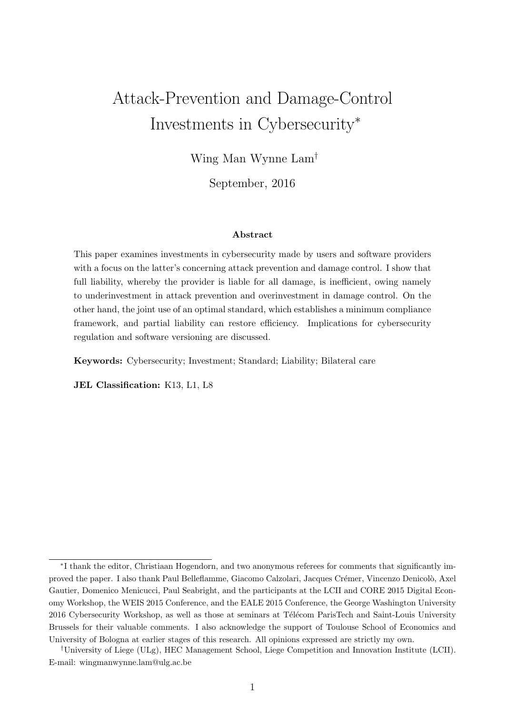# Attack-Prevention and Damage-Control Investments in Cybersecurity<sup>∗</sup>

Wing Man Wynne Lam†

September, 2016

#### Abstract

This paper examines investments in cybersecurity made by users and software providers with a focus on the latter's concerning attack prevention and damage control. I show that full liability, whereby the provider is liable for all damage, is inefficient, owing namely to underinvestment in attack prevention and overinvestment in damage control. On the other hand, the joint use of an optimal standard, which establishes a minimum compliance framework, and partial liability can restore efficiency. Implications for cybersecurity regulation and software versioning are discussed.

Keywords: Cybersecurity; Investment; Standard; Liability; Bilateral care

JEL Classification: K13, L1, L8

<sup>∗</sup> I thank the editor, Christiaan Hogendorn, and two anonymous referees for comments that significantly improved the paper. I also thank Paul Belleflamme, Giacomo Calzolari, Jacques Crémer, Vincenzo Denicolò, Axel Gautier, Domenico Menicucci, Paul Seabright, and the participants at the LCII and CORE 2015 Digital Economy Workshop, the WEIS 2015 Conference, and the EALE 2015 Conference, the George Washington University 2016 Cybersecurity Workshop, as well as those at seminars at Télécom ParisTech and Saint-Louis University Brussels for their valuable comments. I also acknowledge the support of Toulouse School of Economics and University of Bologna at earlier stages of this research. All opinions expressed are strictly my own.

<sup>†</sup>University of Liege (ULg), HEC Management School, Liege Competition and Innovation Institute (LCII). E-mail: wingmanwynne.lam@ulg.ac.be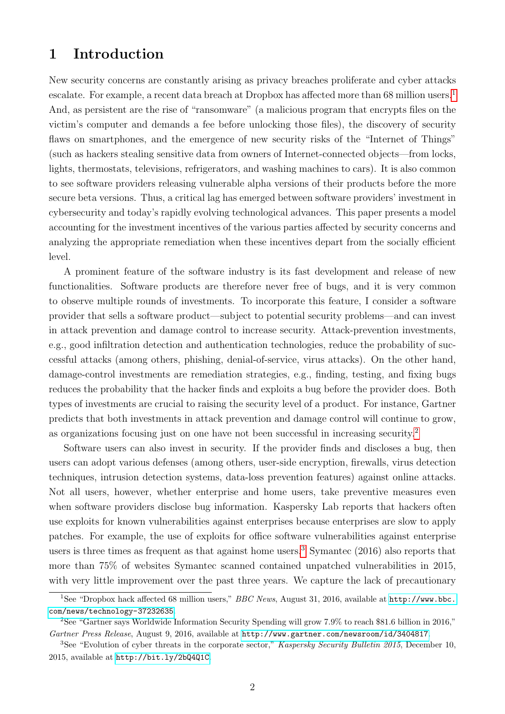### 1 Introduction

New security concerns are constantly arising as privacy breaches proliferate and cyber attacks escalate. For example, a recent data breach at Dropbox has affected more than 68 million users.<sup>[1](#page-1-0)</sup> And, as persistent are the rise of "ransomware" (a malicious program that encrypts files on the victim's computer and demands a fee before unlocking those files), the discovery of security flaws on smartphones, and the emergence of new security risks of the "Internet of Things" (such as hackers stealing sensitive data from owners of Internet-connected objects—from locks, lights, thermostats, televisions, refrigerators, and washing machines to cars). It is also common to see software providers releasing vulnerable alpha versions of their products before the more secure beta versions. Thus, a critical lag has emerged between software providers' investment in cybersecurity and today's rapidly evolving technological advances. This paper presents a model accounting for the investment incentives of the various parties affected by security concerns and analyzing the appropriate remediation when these incentives depart from the socially efficient level.

A prominent feature of the software industry is its fast development and release of new functionalities. Software products are therefore never free of bugs, and it is very common to observe multiple rounds of investments. To incorporate this feature, I consider a software provider that sells a software product—subject to potential security problems—and can invest in attack prevention and damage control to increase security. Attack-prevention investments, e.g., good infiltration detection and authentication technologies, reduce the probability of successful attacks (among others, phishing, denial-of-service, virus attacks). On the other hand, damage-control investments are remediation strategies, e.g., finding, testing, and fixing bugs reduces the probability that the hacker finds and exploits a bug before the provider does. Both types of investments are crucial to raising the security level of a product. For instance, Gartner predicts that both investments in attack prevention and damage control will continue to grow, as organizations focusing just on one have not been successful in increasing security.[2](#page-1-1)

Software users can also invest in security. If the provider finds and discloses a bug, then users can adopt various defenses (among others, user-side encryption, firewalls, virus detection techniques, intrusion detection systems, data-loss prevention features) against online attacks. Not all users, however, whether enterprise and home users, take preventive measures even when software providers disclose bug information. Kaspersky Lab reports that hackers often use exploits for known vulnerabilities against enterprises because enterprises are slow to apply patches. For example, the use of exploits for office software vulnerabilities against enterprise users is three times as frequent as that against home users.<sup>[3](#page-1-2)</sup> Symantec  $(2016)$  also reports that more than 75% of websites Symantec scanned contained unpatched vulnerabilities in 2015, with very little improvement over the past three years. We capture the lack of precautionary

<span id="page-1-0"></span><sup>1</sup>See "Dropbox hack affected 68 million users," BBC News, August 31, 2016, available at [http://www.bbc.](http://www.bbc.com/news/technology-37232635) [com/news/technology-37232635](http://www.bbc.com/news/technology-37232635).

<span id="page-1-1"></span><sup>2</sup>See "Gartner says Worldwide Information Security Spending will grow 7.9% to reach \$81.6 billion in 2016," Gartner Press Release, August 9, 2016, available at <http://www.gartner.com/newsroom/id/3404817>.

<span id="page-1-2"></span><sup>&</sup>lt;sup>3</sup>See "Evolution of cyber threats in the corporate sector," Kaspersky Security Bulletin 2015, December 10, 2015, available at <http://bit.ly/2bQ4Q1C>.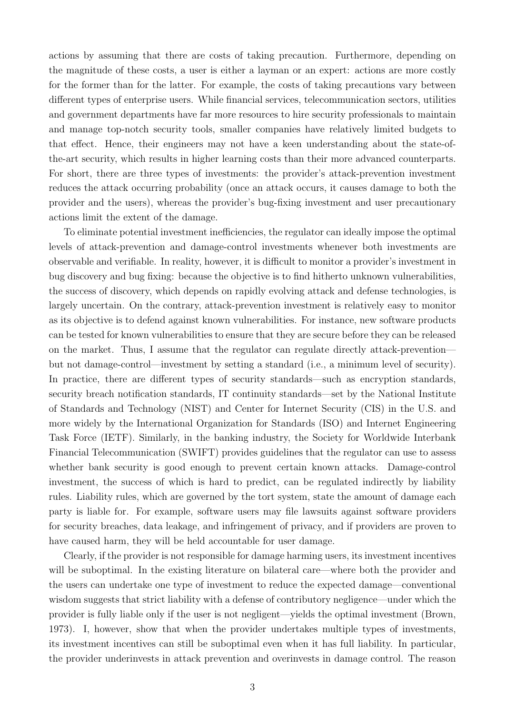actions by assuming that there are costs of taking precaution. Furthermore, depending on the magnitude of these costs, a user is either a layman or an expert: actions are more costly for the former than for the latter. For example, the costs of taking precautions vary between different types of enterprise users. While financial services, telecommunication sectors, utilities and government departments have far more resources to hire security professionals to maintain and manage top-notch security tools, smaller companies have relatively limited budgets to that effect. Hence, their engineers may not have a keen understanding about the state-ofthe-art security, which results in higher learning costs than their more advanced counterparts. For short, there are three types of investments: the provider's attack-prevention investment reduces the attack occurring probability (once an attack occurs, it causes damage to both the provider and the users), whereas the provider's bug-fixing investment and user precautionary actions limit the extent of the damage.

To eliminate potential investment inefficiencies, the regulator can ideally impose the optimal levels of attack-prevention and damage-control investments whenever both investments are observable and verifiable. In reality, however, it is difficult to monitor a provider's investment in bug discovery and bug fixing: because the objective is to find hitherto unknown vulnerabilities, the success of discovery, which depends on rapidly evolving attack and defense technologies, is largely uncertain. On the contrary, attack-prevention investment is relatively easy to monitor as its objective is to defend against known vulnerabilities. For instance, new software products can be tested for known vulnerabilities to ensure that they are secure before they can be released on the market. Thus, I assume that the regulator can regulate directly attack-prevention but not damage-control—investment by setting a standard (i.e., a minimum level of security). In practice, there are different types of security standards—such as encryption standards, security breach notification standards, IT continuity standards—set by the National Institute of Standards and Technology (NIST) and Center for Internet Security (CIS) in the U.S. and more widely by the International Organization for Standards (ISO) and Internet Engineering Task Force (IETF). Similarly, in the banking industry, the Society for Worldwide Interbank Financial Telecommunication (SWIFT) provides guidelines that the regulator can use to assess whether bank security is good enough to prevent certain known attacks. Damage-control investment, the success of which is hard to predict, can be regulated indirectly by liability rules. Liability rules, which are governed by the tort system, state the amount of damage each party is liable for. For example, software users may file lawsuits against software providers for security breaches, data leakage, and infringement of privacy, and if providers are proven to have caused harm, they will be held accountable for user damage.

Clearly, if the provider is not responsible for damage harming users, its investment incentives will be suboptimal. In the existing literature on bilateral care—where both the provider and the users can undertake one type of investment to reduce the expected damage—conventional wisdom suggests that strict liability with a defense of contributory negligence—under which the provider is fully liable only if the user is not negligent—yields the optimal investment (Brown, 1973). I, however, show that when the provider undertakes multiple types of investments, its investment incentives can still be suboptimal even when it has full liability. In particular, the provider underinvests in attack prevention and overinvests in damage control. The reason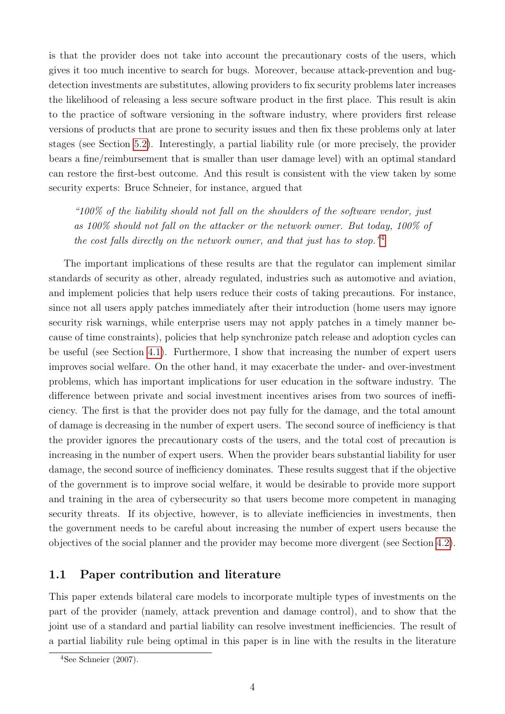is that the provider does not take into account the precautionary costs of the users, which gives it too much incentive to search for bugs. Moreover, because attack-prevention and bugdetection investments are substitutes, allowing providers to fix security problems later increases the likelihood of releasing a less secure software product in the first place. This result is akin to the practice of software versioning in the software industry, where providers first release versions of products that are prone to security issues and then fix these problems only at later stages (see Section [5.2\)](#page-15-0). Interestingly, a partial liability rule (or more precisely, the provider bears a fine/reimbursement that is smaller than user damage level) with an optimal standard can restore the first-best outcome. And this result is consistent with the view taken by some security experts: Bruce Schneier, for instance, argued that

"100% of the liability should not fall on the shoulders of the software vendor, just as 100% should not fall on the attacker or the network owner. But today, 100% of the cost falls directly on the network owner, and that just has to stop."[4](#page-3-0)

The important implications of these results are that the regulator can implement similar standards of security as other, already regulated, industries such as automotive and aviation, and implement policies that help users reduce their costs of taking precautions. For instance, since not all users apply patches immediately after their introduction (home users may ignore security risk warnings, while enterprise users may not apply patches in a timely manner because of time constraints), policies that help synchronize patch release and adoption cycles can be useful (see Section [4.1\)](#page-12-0). Furthermore, I show that increasing the number of expert users improves social welfare. On the other hand, it may exacerbate the under- and over-investment problems, which has important implications for user education in the software industry. The difference between private and social investment incentives arises from two sources of inefficiency. The first is that the provider does not pay fully for the damage, and the total amount of damage is decreasing in the number of expert users. The second source of inefficiency is that the provider ignores the precautionary costs of the users, and the total cost of precaution is increasing in the number of expert users. When the provider bears substantial liability for user damage, the second source of inefficiency dominates. These results suggest that if the objective of the government is to improve social welfare, it would be desirable to provide more support and training in the area of cybersecurity so that users become more competent in managing security threats. If its objective, however, is to alleviate inefficiencies in investments, then the government needs to be careful about increasing the number of expert users because the objectives of the social planner and the provider may become more divergent (see Section [4.2\)](#page-13-0).

#### 1.1 Paper contribution and literature

This paper extends bilateral care models to incorporate multiple types of investments on the part of the provider (namely, attack prevention and damage control), and to show that the joint use of a standard and partial liability can resolve investment inefficiencies. The result of a partial liability rule being optimal in this paper is in line with the results in the literature

<span id="page-3-0"></span><sup>4</sup>See Schneier (2007).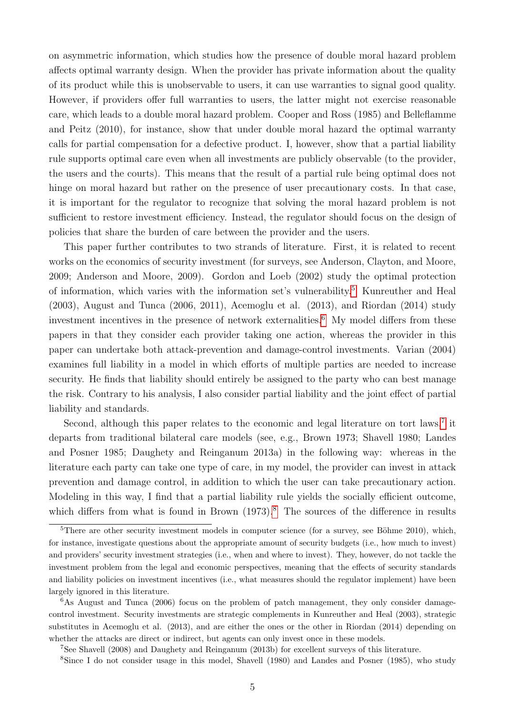on asymmetric information, which studies how the presence of double moral hazard problem affects optimal warranty design. When the provider has private information about the quality of its product while this is unobservable to users, it can use warranties to signal good quality. However, if providers offer full warranties to users, the latter might not exercise reasonable care, which leads to a double moral hazard problem. Cooper and Ross (1985) and Belleflamme and Peitz (2010), for instance, show that under double moral hazard the optimal warranty calls for partial compensation for a defective product. I, however, show that a partial liability rule supports optimal care even when all investments are publicly observable (to the provider, the users and the courts). This means that the result of a partial rule being optimal does not hinge on moral hazard but rather on the presence of user precautionary costs. In that case, it is important for the regulator to recognize that solving the moral hazard problem is not sufficient to restore investment efficiency. Instead, the regulator should focus on the design of policies that share the burden of care between the provider and the users.

This paper further contributes to two strands of literature. First, it is related to recent works on the economics of security investment (for surveys, see Anderson, Clayton, and Moore, 2009; Anderson and Moore, 2009). Gordon and Loeb (2002) study the optimal protection of information, which varies with the information set's vulnerability.<sup>[5](#page-4-0)</sup> Kunreuther and Heal (2003), August and Tunca (2006, 2011), Acemoglu et al. (2013), and Riordan (2014) study investment incentives in the presence of network externalities.<sup>[6](#page-4-1)</sup> My model differs from these papers in that they consider each provider taking one action, whereas the provider in this paper can undertake both attack-prevention and damage-control investments. Varian (2004) examines full liability in a model in which efforts of multiple parties are needed to increase security. He finds that liability should entirely be assigned to the party who can best manage the risk. Contrary to his analysis, I also consider partial liability and the joint effect of partial liability and standards.

Second, although this paper relates to the economic and legal literature on tort laws,<sup>[7](#page-4-2)</sup> it departs from traditional bilateral care models (see, e.g., Brown 1973; Shavell 1980; Landes and Posner 1985; Daughety and Reinganum 2013a) in the following way: whereas in the literature each party can take one type of care, in my model, the provider can invest in attack prevention and damage control, in addition to which the user can take precautionary action. Modeling in this way, I find that a partial liability rule yields the socially efficient outcome, which differs from what is found in Brown (1973).<sup>[8](#page-4-3)</sup> The sources of the difference in results

<span id="page-4-2"></span><sup>7</sup>See Shavell (2008) and Daughety and Reinganum (2013b) for excellent surveys of this literature.

<span id="page-4-3"></span><sup>8</sup>Since I do not consider usage in this model, Shavell (1980) and Landes and Posner (1985), who study

<span id="page-4-0"></span> $5$ There are other security investment models in computer science (for a survey, see Böhme 2010), which, for instance, investigate questions about the appropriate amount of security budgets (i.e., how much to invest) and providers' security investment strategies (i.e., when and where to invest). They, however, do not tackle the investment problem from the legal and economic perspectives, meaning that the effects of security standards and liability policies on investment incentives (i.e., what measures should the regulator implement) have been largely ignored in this literature.

<span id="page-4-1"></span><sup>6</sup>As August and Tunca (2006) focus on the problem of patch management, they only consider damagecontrol investment. Security investments are strategic complements in Kunreuther and Heal (2003), strategic substitutes in Acemoglu et al. (2013), and are either the ones or the other in Riordan (2014) depending on whether the attacks are direct or indirect, but agents can only invest once in these models.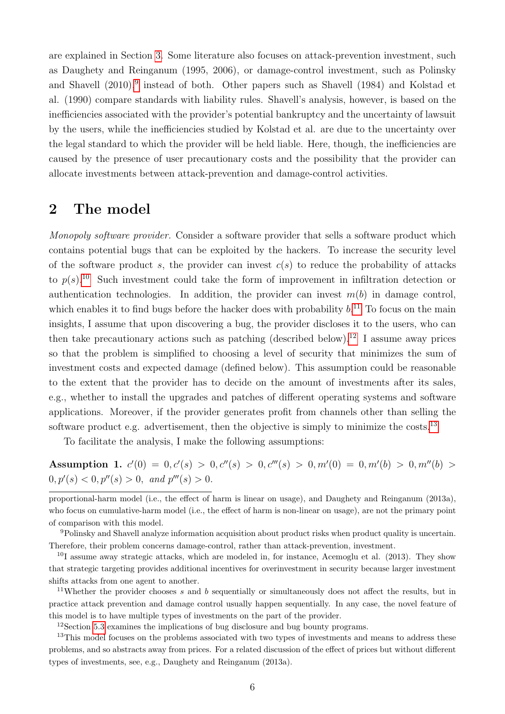are explained in Section [3.](#page-8-0) Some literature also focuses on attack-prevention investment, such as Daughety and Reinganum (1995, 2006), or damage-control investment, such as Polinsky and Shavell  $(2010)$ , instead of both. Other papers such as Shavell  $(1984)$  $(1984)$  $(1984)$  and Kolstad et al. (1990) compare standards with liability rules. Shavell's analysis, however, is based on the inefficiencies associated with the provider's potential bankruptcy and the uncertainty of lawsuit by the users, while the inefficiencies studied by Kolstad et al. are due to the uncertainty over the legal standard to which the provider will be held liable. Here, though, the inefficiencies are caused by the presence of user precautionary costs and the possibility that the provider can allocate investments between attack-prevention and damage-control activities.

## 2 The model

Monopoly software provider. Consider a software provider that sells a software product which contains potential bugs that can be exploited by the hackers. To increase the security level of the software product s, the provider can invest  $c(s)$  to reduce the probability of attacks to  $p(s)$ .<sup>[10](#page-5-1)</sup> Such investment could take the form of improvement in infiltration detection or authentication technologies. In addition, the provider can invest  $m(b)$  in damage control, which enables it to find bugs before the hacker does with probability  $b^{11}$  $b^{11}$  $b^{11}$ . To focus on the main insights, I assume that upon discovering a bug, the provider discloses it to the users, who can then take precautionary actions such as patching (described below).<sup>[12](#page-5-3)</sup> I assume away prices so that the problem is simplified to choosing a level of security that minimizes the sum of investment costs and expected damage (defined below). This assumption could be reasonable to the extent that the provider has to decide on the amount of investments after its sales, e.g., whether to install the upgrades and patches of different operating systems and software applications. Moreover, if the provider generates profit from channels other than selling the software product e.g. advertisement, then the objective is simply to minimize the costs.<sup>[13](#page-5-4)</sup>

To facilitate the analysis, I make the following assumptions:

<span id="page-5-5"></span>Assumption 1.  $c'(0) = 0, c'(s) > 0, c''(s) > 0, c'''(s) > 0, m'(0) = 0, m'(b) > 0, m''(b) > 0$  $0, p'(s) < 0, p''(s) > 0, \text{ and } p'''(s) > 0.$ 

<span id="page-5-4"></span><span id="page-5-3"></span><sup>12</sup>Section [5.3](#page-15-1) examines the implications of bug disclosure and bug bounty programs.

proportional-harm model (i.e., the effect of harm is linear on usage), and Daughety and Reinganum (2013a), who focus on cumulative-harm model (i.e., the effect of harm is non-linear on usage), are not the primary point of comparison with this model.

<span id="page-5-0"></span><sup>9</sup>Polinsky and Shavell analyze information acquisition about product risks when product quality is uncertain. Therefore, their problem concerns damage-control, rather than attack-prevention, investment.

<span id="page-5-1"></span> $10I$  assume away strategic attacks, which are modeled in, for instance, Acemoglu et al. (2013). They show that strategic targeting provides additional incentives for overinvestment in security because larger investment shifts attacks from one agent to another.

<span id="page-5-2"></span><sup>&</sup>lt;sup>11</sup>Whether the provider chooses s and b sequentially or simultaneously does not affect the results, but in practice attack prevention and damage control usually happen sequentially. In any case, the novel feature of this model is to have multiple types of investments on the part of the provider.

<sup>&</sup>lt;sup>13</sup>This model focuses on the problems associated with two types of investments and means to address these problems, and so abstracts away from prices. For a related discussion of the effect of prices but without different types of investments, see, e.g., Daughety and Reinganum (2013a).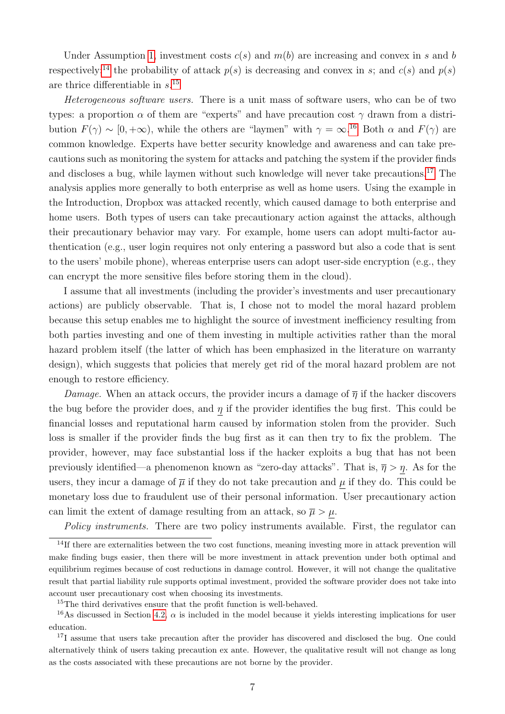Under Assumption [1,](#page-5-5) investment costs  $c(s)$  and  $m(b)$  are increasing and convex in s and b respectively;<sup>[14](#page-6-0)</sup> the probability of attack  $p(s)$  is decreasing and convex in s; and  $c(s)$  and  $p(s)$ are thrice differentiable in s. [15](#page-6-1)

Heterogeneous software users. There is a unit mass of software users, who can be of two types: a proportion  $\alpha$  of them are "experts" and have precaution cost  $\gamma$  drawn from a distribution  $F(\gamma) \sim [0, +\infty)$ , while the others are "laymen" with  $\gamma = \infty$ .<sup>[16](#page-6-2)</sup> Both  $\alpha$  and  $F(\gamma)$  are common knowledge. Experts have better security knowledge and awareness and can take precautions such as monitoring the system for attacks and patching the system if the provider finds and discloses a bug, while laymen without such knowledge will never take precautions.<sup>[17](#page-6-3)</sup> The analysis applies more generally to both enterprise as well as home users. Using the example in the Introduction, Dropbox was attacked recently, which caused damage to both enterprise and home users. Both types of users can take precautionary action against the attacks, although their precautionary behavior may vary. For example, home users can adopt multi-factor authentication (e.g., user login requires not only entering a password but also a code that is sent to the users' mobile phone), whereas enterprise users can adopt user-side encryption (e.g., they can encrypt the more sensitive files before storing them in the cloud).

I assume that all investments (including the provider's investments and user precautionary actions) are publicly observable. That is, I chose not to model the moral hazard problem because this setup enables me to highlight the source of investment inefficiency resulting from both parties investing and one of them investing in multiple activities rather than the moral hazard problem itself (the latter of which has been emphasized in the literature on warranty design), which suggests that policies that merely get rid of the moral hazard problem are not enough to restore efficiency.

Damage. When an attack occurs, the provider incurs a damage of  $\bar{\eta}$  if the hacker discovers the bug before the provider does, and  $\eta$  if the provider identifies the bug first. This could be financial losses and reputational harm caused by information stolen from the provider. Such loss is smaller if the provider finds the bug first as it can then try to fix the problem. The provider, however, may face substantial loss if the hacker exploits a bug that has not been previously identified—a phenomenon known as "zero-day attacks". That is,  $\bar{\eta} > \eta$ . As for the users, they incur a damage of  $\overline{\mu}$  if they do not take precaution and  $\mu$  if they do. This could be monetary loss due to fraudulent use of their personal information. User precautionary action can limit the extent of damage resulting from an attack, so  $\overline{\mu} > \mu$ .

<span id="page-6-0"></span>Policy instruments. There are two policy instruments available. First, the regulator can

 $14$ If there are externalities between the two cost functions, meaning investing more in attack prevention will make finding bugs easier, then there will be more investment in attack prevention under both optimal and equilibrium regimes because of cost reductions in damage control. However, it will not change the qualitative result that partial liability rule supports optimal investment, provided the software provider does not take into account user precautionary cost when choosing its investments.

<span id="page-6-2"></span><span id="page-6-1"></span><sup>&</sup>lt;sup>15</sup>The third derivatives ensure that the profit function is well-behaved.

<sup>&</sup>lt;sup>16</sup>As discussed in Section [4.2,](#page-13-0)  $\alpha$  is included in the model because it yields interesting implications for user education.

<span id="page-6-3"></span><sup>&</sup>lt;sup>17</sup>I assume that users take precaution after the provider has discovered and disclosed the bug. One could alternatively think of users taking precaution ex ante. However, the qualitative result will not change as long as the costs associated with these precautions are not borne by the provider.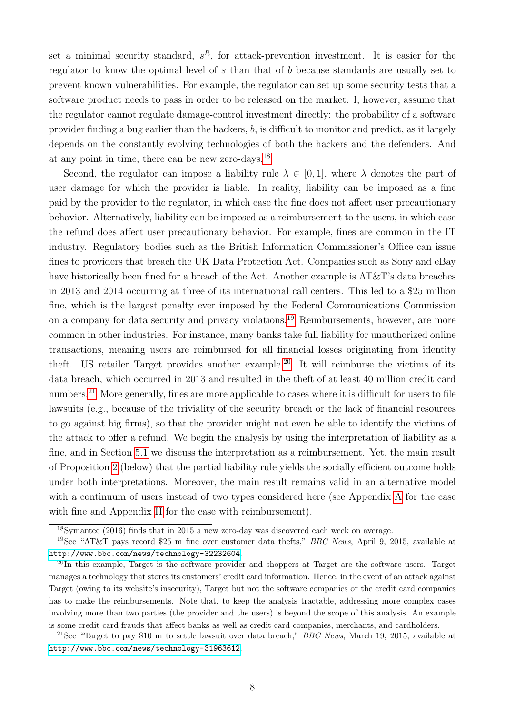set a minimal security standard,  $s^R$ , for attack-prevention investment. It is easier for the regulator to know the optimal level of s than that of b because standards are usually set to prevent known vulnerabilities. For example, the regulator can set up some security tests that a software product needs to pass in order to be released on the market. I, however, assume that the regulator cannot regulate damage-control investment directly: the probability of a software provider finding a bug earlier than the hackers, b, is difficult to monitor and predict, as it largely depends on the constantly evolving technologies of both the hackers and the defenders. And at any point in time, there can be new zero-days.[18](#page-7-0)

Second, the regulator can impose a liability rule  $\lambda \in [0,1]$ , where  $\lambda$  denotes the part of user damage for which the provider is liable. In reality, liability can be imposed as a fine paid by the provider to the regulator, in which case the fine does not affect user precautionary behavior. Alternatively, liability can be imposed as a reimbursement to the users, in which case the refund does affect user precautionary behavior. For example, fines are common in the IT industry. Regulatory bodies such as the British Information Commissioner's Office can issue fines to providers that breach the UK Data Protection Act. Companies such as Sony and eBay have historically been fined for a breach of the Act. Another example is AT&T's data breaches in 2013 and 2014 occurring at three of its international call centers. This led to a \$25 million fine, which is the largest penalty ever imposed by the Federal Communications Commission on a company for data security and privacy violations.[19](#page-7-1) Reimbursements, however, are more common in other industries. For instance, many banks take full liability for unauthorized online transactions, meaning users are reimbursed for all financial losses originating from identity theft. US retailer Target provides another example.<sup>[20](#page-7-2)</sup> It will reimburse the victims of its data breach, which occurred in 2013 and resulted in the theft of at least 40 million credit card numbers.<sup>[21](#page-7-3)</sup> More generally, fines are more applicable to cases where it is difficult for users to file lawsuits (e.g., because of the triviality of the security breach or the lack of financial resources to go against big firms), so that the provider might not even be able to identify the victims of the attack to offer a refund. We begin the analysis by using the interpretation of liability as a fine, and in Section [5.1](#page-14-0) we discuss the interpretation as a reimbursement. Yet, the main result of Proposition [2](#page-11-0) (below) that the partial liability rule yields the socially efficient outcome holds under both interpretations. Moreover, the main result remains valid in an alternative model with a continuum of users instead of two types considered here (see Appendix [A](#page-17-0) for the case with fine and Appendix [H](#page-20-0) for the case with reimbursement).

<span id="page-7-1"></span><span id="page-7-0"></span><sup>18</sup>Symantec (2016) finds that in 2015 a new zero-day was discovered each week on average.

<sup>&</sup>lt;sup>19</sup>See "AT&T pays record \$25 m fine over customer data thefts," *BBC News*, April 9, 2015, available at <http://www.bbc.com/news/technology-32232604>.

<span id="page-7-2"></span><sup>&</sup>lt;sup>20</sup>In this example, Target is the software provider and shoppers at Target are the software users. Target manages a technology that stores its customers' credit card information. Hence, in the event of an attack against Target (owing to its website's insecurity), Target but not the software companies or the credit card companies has to make the reimbursements. Note that, to keep the analysis tractable, addressing more complex cases involving more than two parties (the provider and the users) is beyond the scope of this analysis. An example is some credit card frauds that affect banks as well as credit card companies, merchants, and cardholders.

<span id="page-7-3"></span><sup>&</sup>lt;sup>21</sup>See "Target to pay \$10 m to settle lawsuit over data breach," *BBC News*, March 19, 2015, available at <http://www.bbc.com/news/technology-31963612>.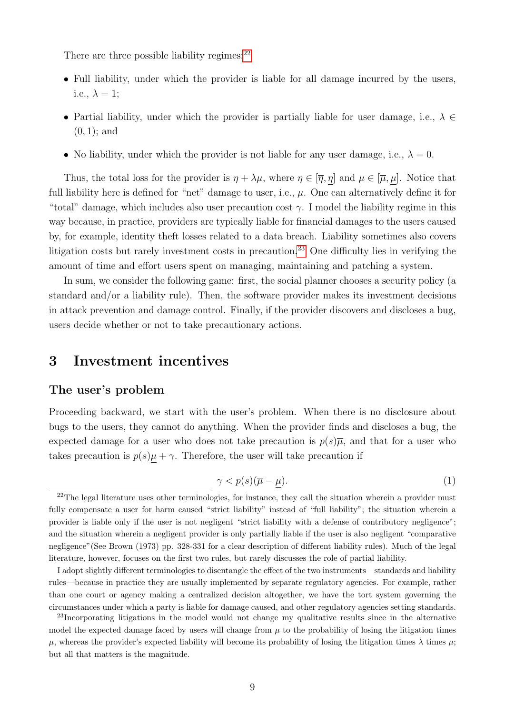There are three possible liability regimes: $^{22}$  $^{22}$  $^{22}$ 

- Full liability, under which the provider is liable for all damage incurred by the users, i.e.,  $\lambda = 1$ ;
- Partial liability, under which the provider is partially liable for user damage, i.e.,  $\lambda \in$  $(0, 1)$ ; and
- No liability, under which the provider is not liable for any user damage, i.e.,  $\lambda = 0$ .

Thus, the total loss for the provider is  $\eta + \lambda \mu$ , where  $\eta \in [\overline{\eta}, \eta]$  and  $\mu \in [\overline{\mu}, \mu]$ . Notice that full liability here is defined for "net" damage to user, i.e.,  $\mu$ . One can alternatively define it for "total" damage, which includes also user precaution cost  $\gamma$ . I model the liability regime in this way because, in practice, providers are typically liable for financial damages to the users caused by, for example, identity theft losses related to a data breach. Liability sometimes also covers litigation costs but rarely investment costs in precaution.<sup>[23](#page-8-2)</sup> One difficulty lies in verifying the amount of time and effort users spent on managing, maintaining and patching a system.

In sum, we consider the following game: first, the social planner chooses a security policy (a standard and/or a liability rule). Then, the software provider makes its investment decisions in attack prevention and damage control. Finally, if the provider discovers and discloses a bug, users decide whether or not to take precautionary actions.

### <span id="page-8-0"></span>3 Investment incentives

#### The user's problem

Proceeding backward, we start with the user's problem. When there is no disclosure about bugs to the users, they cannot do anything. When the provider finds and discloses a bug, the expected damage for a user who does not take precaution is  $p(s)\overline{\mu}$ , and that for a user who takes precaution is  $p(s) \mu + \gamma$ . Therefore, the user will take precaution if

<span id="page-8-3"></span>
$$
\gamma < p(s)(\overline{\mu} - \mu). \tag{1}
$$

<span id="page-8-1"></span><sup>&</sup>lt;sup>22</sup>The legal literature uses other terminologies, for instance, they call the situation wherein a provider must fully compensate a user for harm caused "strict liability" instead of "full liability"; the situation wherein a provider is liable only if the user is not negligent "strict liability with a defense of contributory negligence"; and the situation wherein a negligent provider is only partially liable if the user is also negligent "comparative negligence"(See Brown (1973) pp. 328-331 for a clear description of different liability rules). Much of the legal literature, however, focuses on the first two rules, but rarely discusses the role of partial liability.

I adopt slightly different terminologies to disentangle the effect of the two instruments—standards and liability rules—because in practice they are usually implemented by separate regulatory agencies. For example, rather than one court or agency making a centralized decision altogether, we have the tort system governing the circumstances under which a party is liable for damage caused, and other regulatory agencies setting standards.

<span id="page-8-2"></span><sup>&</sup>lt;sup>23</sup>Incorporating litigations in the model would not change my qualitative results since in the alternative model the expected damage faced by users will change from  $\mu$  to the probability of losing the litigation times  $\mu$ , whereas the provider's expected liability will become its probability of losing the litigation times  $\lambda$  times  $\mu$ ; but all that matters is the magnitude.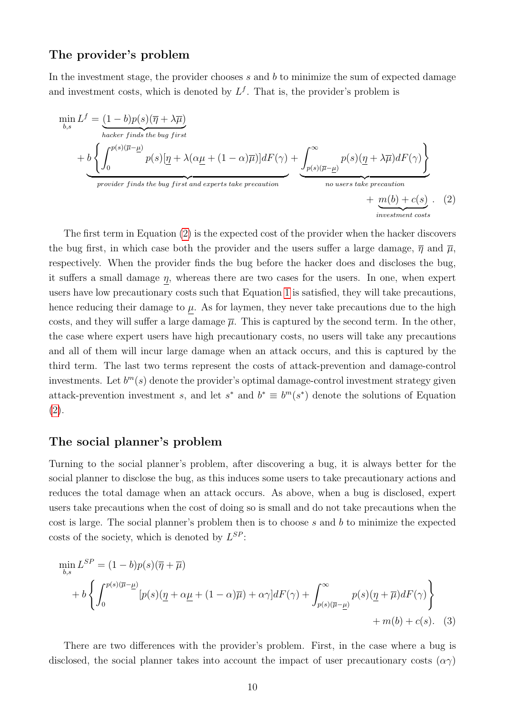#### The provider's problem

In the investment stage, the provider chooses  $s$  and  $b$  to minimize the sum of expected damage and investment costs, which is denoted by  $L^f$ . That is, the provider's problem is

<span id="page-9-0"></span>
$$
\min_{b,s} L^{f} = \underbrace{(1-b)p(s)(\overline{\eta} + \lambda \overline{\mu})}_{\text{hacker finds the bug first}}
$$
\n
$$
+ b \left\{ \int_{0}^{p(s)(\overline{\mu} - \underline{\mu})} p(s)[\underline{\eta} + \lambda(\alpha \underline{\mu} + (1-\alpha)\overline{\mu})]dF(\gamma) + \int_{p(s)(\overline{\mu} - \underline{\mu})}^{\infty} p(s)(\underline{\eta} + \lambda \overline{\mu})dF(\gamma) \right\}
$$
\n
$$
\xrightarrow{\text{provider finds the bug first and experts take precaution}} \underbrace{\mu(s)(\overline{\mu} - \underline{\mu})}_{\text{no users take precaution}} + \underbrace{\mu(b) + c(s)}_{\text{investment costs}}.
$$
\n(2)

The first term in Equation [\(2\)](#page-9-0) is the expected cost of the provider when the hacker discovers the bug first, in which case both the provider and the users suffer a large damage,  $\bar{\eta}$  and  $\bar{\mu}$ , respectively. When the provider finds the bug before the hacker does and discloses the bug, it suffers a small damage  $\eta$ , whereas there are two cases for the users. In one, when expert users have low precautionary costs such that Equation [1](#page-8-3) is satisfied, they will take precautions, hence reducing their damage to  $\mu$ . As for laymen, they never take precautions due to the high costs, and they will suffer a large damage  $\overline{\mu}$ . This is captured by the second term. In the other, the case where expert users have high precautionary costs, no users will take any precautions and all of them will incur large damage when an attack occurs, and this is captured by the third term. The last two terms represent the costs of attack-prevention and damage-control investments. Let  $b^m(s)$  denote the provider's optimal damage-control investment strategy given attack-prevention investment s, and let s<sup>\*</sup> and  $b^* \equiv b^m(s^*)$  denote the solutions of Equation [\(2\)](#page-9-0).

#### The social planner's problem

Turning to the social planner's problem, after discovering a bug, it is always better for the social planner to disclose the bug, as this induces some users to take precautionary actions and reduces the total damage when an attack occurs. As above, when a bug is disclosed, expert users take precautions when the cost of doing so is small and do not take precautions when the cost is large. The social planner's problem then is to choose s and b to minimize the expected costs of the society, which is denoted by  $L^{SP}$ :

<span id="page-9-1"></span>
$$
\min_{b,s} L^{SP} = (1 - b)p(s)(\overline{\eta} + \overline{\mu})
$$
  
+  $b \left\{ \int_0^{p(s)(\overline{\mu} - \underline{\mu})} [p(s)(\underline{\eta} + \alpha\underline{\mu} + (1 - \alpha)\overline{\mu}) + \alpha\gamma] dF(\gamma) + \int_{p(s)(\overline{\mu} - \underline{\mu})}^{\infty} p(s)(\underline{\eta} + \overline{\mu}) dF(\gamma) \right\}$   
+  $m(b) + c(s)$ . (3)

There are two differences with the provider's problem. First, in the case where a bug is disclosed, the social planner takes into account the impact of user precautionary costs  $(\alpha \gamma)$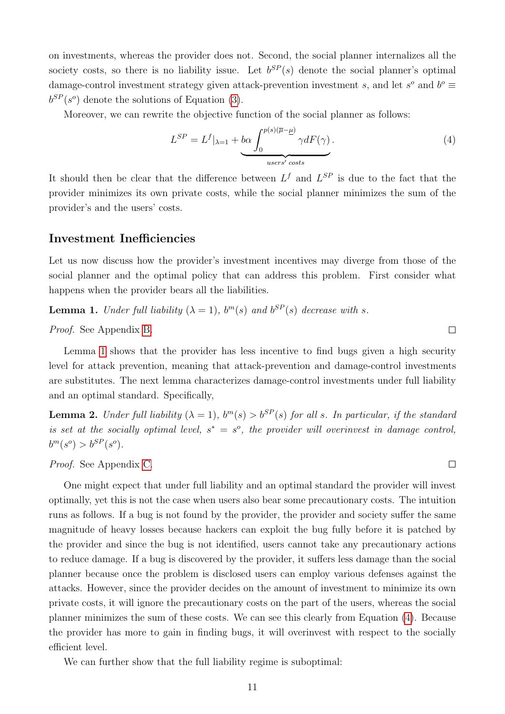on investments, whereas the provider does not. Second, the social planner internalizes all the society costs, so there is no liability issue. Let  $b^{SP}(s)$  denote the social planner's optimal damage-control investment strategy given attack-prevention investment s, and let  $s^o$  and  $b^o \equiv$  $b^{SP}(s^o)$  denote the solutions of Equation [\(3\)](#page-9-1).

Moreover, we can rewrite the objective function of the social planner as follows:

<span id="page-10-1"></span>
$$
L^{SP} = L^{f}|_{\lambda=1} + \underbrace{b\alpha \int_{0}^{p(s)(\overline{\mu}-\underline{\mu})} \gamma dF(\gamma)}_{users' costs}.
$$
 (4)

It should then be clear that the difference between  $L^f$  and  $L^{SP}$  is due to the fact that the provider minimizes its own private costs, while the social planner minimizes the sum of the provider's and the users' costs.

#### Investment Inefficiencies

Let us now discuss how the provider's investment incentives may diverge from those of the social planner and the optimal policy that can address this problem. First consider what happens when the provider bears all the liabilities.

<span id="page-10-0"></span>**Lemma 1.** Under full liability  $(\lambda = 1)$ ,  $b^m(s)$  and  $b^{SP}(s)$  decrease with s.

Proof. See Appendix [B.](#page-18-0)

Lemma [1](#page-10-0) shows that the provider has less incentive to find bugs given a high security level for attack prevention, meaning that attack-prevention and damage-control investments are substitutes. The next lemma characterizes damage-control investments under full liability and an optimal standard. Specifically,

<span id="page-10-2"></span>**Lemma 2.** Under full liability  $(\lambda = 1)$ ,  $b^m(s) > b^{SP}(s)$  for all s. In particular, if the standard is set at the socially optimal level,  $s^* = s^o$ , the provider will overinvest in damage control,  $b^m(s^o) > b^{SP}(s^o).$ 

Proof. See Appendix [C.](#page-18-1)

One might expect that under full liability and an optimal standard the provider will invest optimally, yet this is not the case when users also bear some precautionary costs. The intuition runs as follows. If a bug is not found by the provider, the provider and society suffer the same magnitude of heavy losses because hackers can exploit the bug fully before it is patched by the provider and since the bug is not identified, users cannot take any precautionary actions to reduce damage. If a bug is discovered by the provider, it suffers less damage than the social planner because once the problem is disclosed users can employ various defenses against the attacks. However, since the provider decides on the amount of investment to minimize its own private costs, it will ignore the precautionary costs on the part of the users, whereas the social planner minimizes the sum of these costs. We can see this clearly from Equation [\(4\)](#page-10-1). Because the provider has more to gain in finding bugs, it will overinvest with respect to the socially efficient level.

We can further show that the full liability regime is suboptimal:

 $\Box$ 

 $\Box$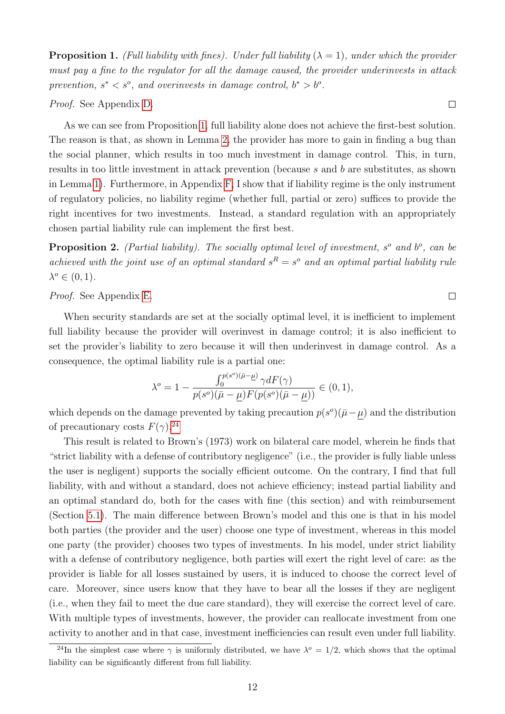<span id="page-11-1"></span>**Proposition 1.** (Full liability with fines). Under full liability  $(\lambda = 1)$ , under which the provider must pay a fine to the regulator for all the damage caused, the provider underinvests in attack prevention,  $s^* < s^o$ , and overinvests in damage control,  $b^* > b^o$ .

 $\Box$ 

 $\Box$ 

Proof. See Appendix [D.](#page-18-2)

As we can see from Proposition [1,](#page-11-1) full liability alone does not achieve the first-best solution. The reason is that, as shown in Lemma [2,](#page-10-2) the provider has more to gain in finding a bug than the social planner, which results in too much investment in damage control. This, in turn, results in too little investment in attack prevention (because s and b are substitutes, as shown in Lemma [1\)](#page-10-0). Furthermore, in Appendix [F,](#page-19-0) I show that if liability regime is the only instrument of regulatory policies, no liability regime (whether full, partial or zero) suffices to provide the right incentives for two investments. Instead, a standard regulation with an appropriately chosen partial liability rule can implement the first best.

<span id="page-11-0"></span>**Proposition 2.** (Partial liability). The socially optimal level of investment, s<sup>o</sup> and  $b^o$ , can be achieved with the joint use of an optimal standard  $s^R = s^o$  and an optimal partial liability rule  $\lambda^o \in (0,1)$ .

Proof. See Appendix [E.](#page-19-1)

When security standards are set at the socially optimal level, it is inefficient to implement full liability because the provider will overinvest in damage control; it is also inefficient to set the provider's liability to zero because it will then underinvest in damage control. As a consequence, the optimal liability rule is a partial one:

$$
\lambda^o=1-\frac{\int_0^{p(s^o)(\bar{\mu}-\underline{\mu})}\gamma dF(\gamma)}{p(s^o)(\bar{\mu}-\underline{\mu})F(p(s^o)(\bar{\mu}-\underline{\mu}))}\in(0,1),
$$

which depends on the damage prevented by taking precaution  $p(s^{\circ})(\bar{\mu}-\mu)$  and the distribution of precautionary costs  $F(\gamma)$ <sup>[24](#page-11-2)</sup>

This result is related to Brown's (1973) work on bilateral care model, wherein he finds that "strict liability with a defense of contributory negligence" (i.e., the provider is fully liable unless the user is negligent) supports the socially efficient outcome. On the contrary, I find that full liability, with and without a standard, does not achieve efficiency; instead partial liability and an optimal standard do, both for the cases with fine (this section) and with reimbursement (Section [5.1\)](#page-14-0). The main difference between Brown's model and this one is that in his model both parties (the provider and the user) choose one type of investment, whereas in this model one party (the provider) chooses two types of investments. In his model, under strict liability with a defense of contributory negligence, both parties will exert the right level of care: as the provider is liable for all losses sustained by users, it is induced to choose the correct level of care. Moreover, since users know that they have to bear all the losses if they are negligent (i.e., when they fail to meet the due care standard), they will exercise the correct level of care. With multiple types of investments, however, the provider can reallocate investment from one activity to another and in that case, investment inefficiencies can result even under full liability.

<span id="page-11-2"></span><sup>&</sup>lt;sup>24</sup>In the simplest case where  $\gamma$  is uniformly distributed, we have  $\lambda^{\circ} = 1/2$ , which shows that the optimal liability can be significantly different from full liability.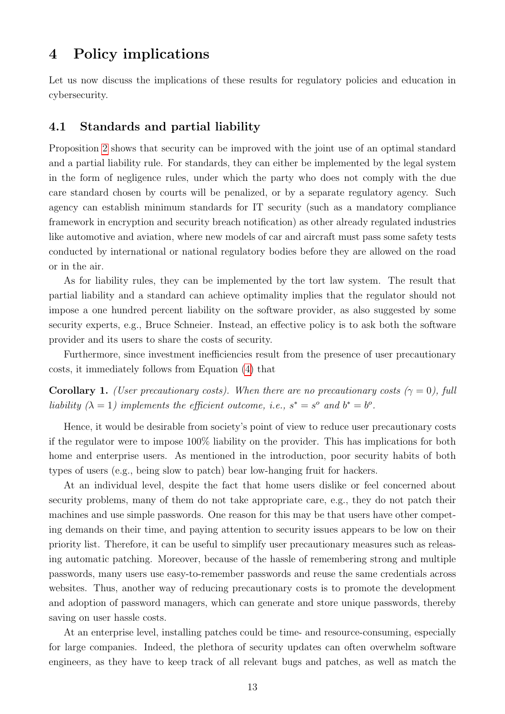### 4 Policy implications

Let us now discuss the implications of these results for regulatory policies and education in cybersecurity.

#### <span id="page-12-0"></span>4.1 Standards and partial liability

Proposition [2](#page-11-0) shows that security can be improved with the joint use of an optimal standard and a partial liability rule. For standards, they can either be implemented by the legal system in the form of negligence rules, under which the party who does not comply with the due care standard chosen by courts will be penalized, or by a separate regulatory agency. Such agency can establish minimum standards for IT security (such as a mandatory compliance framework in encryption and security breach notification) as other already regulated industries like automotive and aviation, where new models of car and aircraft must pass some safety tests conducted by international or national regulatory bodies before they are allowed on the road or in the air.

As for liability rules, they can be implemented by the tort law system. The result that partial liability and a standard can achieve optimality implies that the regulator should not impose a one hundred percent liability on the software provider, as also suggested by some security experts, e.g., Bruce Schneier. Instead, an effective policy is to ask both the software provider and its users to share the costs of security.

Furthermore, since investment inefficiencies result from the presence of user precautionary costs, it immediately follows from Equation [\(4\)](#page-10-1) that

**Corollary 1.** (User precautionary costs). When there are no precautionary costs ( $\gamma = 0$ ), full liability  $(\lambda = 1)$  implements the efficient outcome, i.e.,  $s^* = s^{\circ}$  and  $b^* = b^{\circ}$ .

Hence, it would be desirable from society's point of view to reduce user precautionary costs if the regulator were to impose 100% liability on the provider. This has implications for both home and enterprise users. As mentioned in the introduction, poor security habits of both types of users (e.g., being slow to patch) bear low-hanging fruit for hackers.

At an individual level, despite the fact that home users dislike or feel concerned about security problems, many of them do not take appropriate care, e.g., they do not patch their machines and use simple passwords. One reason for this may be that users have other competing demands on their time, and paying attention to security issues appears to be low on their priority list. Therefore, it can be useful to simplify user precautionary measures such as releasing automatic patching. Moreover, because of the hassle of remembering strong and multiple passwords, many users use easy-to-remember passwords and reuse the same credentials across websites. Thus, another way of reducing precautionary costs is to promote the development and adoption of password managers, which can generate and store unique passwords, thereby saving on user hassle costs.

At an enterprise level, installing patches could be time- and resource-consuming, especially for large companies. Indeed, the plethora of security updates can often overwhelm software engineers, as they have to keep track of all relevant bugs and patches, as well as match the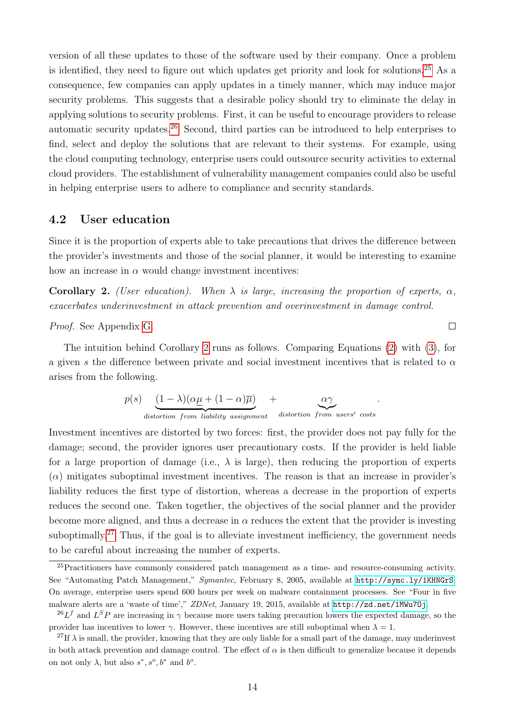version of all these updates to those of the software used by their company. Once a problem is identified, they need to figure out which updates get priority and look for solutions.<sup>[25](#page-13-1)</sup> As a consequence, few companies can apply updates in a timely manner, which may induce major security problems. This suggests that a desirable policy should try to eliminate the delay in applying solutions to security problems. First, it can be useful to encourage providers to release automatic security updates.<sup>[26](#page-13-2)</sup> Second, third parties can be introduced to help enterprises to find, select and deploy the solutions that are relevant to their systems. For example, using the cloud computing technology, enterprise users could outsource security activities to external cloud providers. The establishment of vulnerability management companies could also be useful in helping enterprise users to adhere to compliance and security standards.

#### <span id="page-13-0"></span>4.2 User education

Since it is the proportion of experts able to take precautions that drives the difference between the provider's investments and those of the social planner, it would be interesting to examine how an increase in  $\alpha$  would change investment incentives:

<span id="page-13-3"></span>**Corollary 2.** (User education). When  $\lambda$  is large, increasing the proportion of experts,  $\alpha$ , exacerbates underinvestment in attack prevention and overinvestment in damage control.

 $\Box$ 

#### Proof. See Appendix [G.](#page-19-2)

The intuition behind Corollary [2](#page-13-3) runs as follows. Comparing Equations [\(2\)](#page-9-0) with [\(3\)](#page-9-1), for a given s the difference between private and social investment incentives that is related to  $\alpha$ arises from the following.

$$
p(s) \underbrace{(1-\lambda)(\alpha \underline{\mu} + (1-\alpha)\overline{\mu})}_{\text{distortion from liability assignment}} + \underbrace{\alpha \gamma}_{\text{distortion from users' costs}}.
$$

Investment incentives are distorted by two forces: first, the provider does not pay fully for the damage; second, the provider ignores user precautionary costs. If the provider is held liable for a large proportion of damage (i.e.,  $\lambda$  is large), then reducing the proportion of experts  $(\alpha)$  mitigates suboptimal investment incentives. The reason is that an increase in provider's liability reduces the first type of distortion, whereas a decrease in the proportion of experts reduces the second one. Taken together, the objectives of the social planner and the provider become more aligned, and thus a decrease in  $\alpha$  reduces the extent that the provider is investing suboptimally.<sup>[27](#page-13-4)</sup> Thus, if the goal is to alleviate investment inefficiency, the government needs to be careful about increasing the number of experts.

<span id="page-13-1"></span><sup>&</sup>lt;sup>25</sup>Practitioners have commonly considered patch management as a time- and resource-consuming activity. See "Automating Patch Management," Symantec, February 8, 2005, available at <http://symc.ly/1KHNGrS>. On average, enterprise users spend 600 hours per week on malware containment processes. See "Four in five malware alerts are a 'waste of time'," ZDNet, January 19, 2015, available at http://zd.net/1MWu70j.

<span id="page-13-2"></span><sup>&</sup>lt;sup>26</sup>L<sup>f</sup> and L<sup>S</sup>P are increasing in  $\gamma$  because more users taking precaution lowers the expected damage, so the provider has incentives to lower  $\gamma$ . However, these incentives are still suboptimal when  $\lambda = 1$ .

<span id="page-13-4"></span><sup>&</sup>lt;sup>27</sup>If  $\lambda$  is small, the provider, knowing that they are only liable for a small part of the damage, may underinvest in both attack prevention and damage control. The effect of  $\alpha$  is then difficult to generalize because it depends on not only  $\lambda$ , but also  $s^*, s^o, b^*$  and  $b^o$ .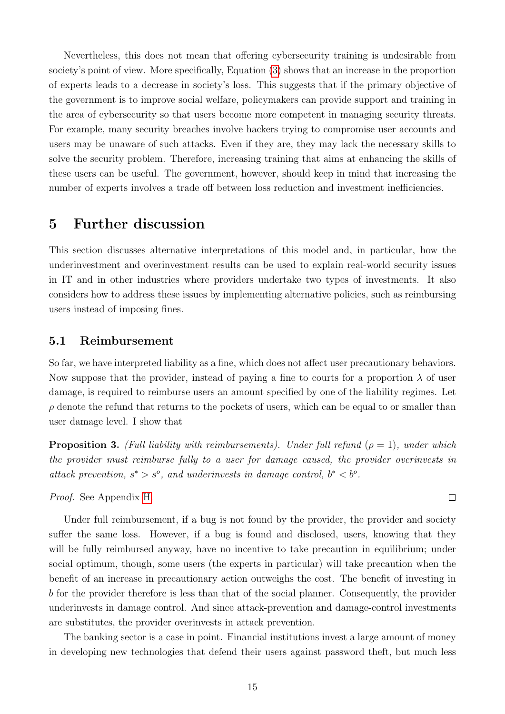Nevertheless, this does not mean that offering cybersecurity training is undesirable from society's point of view. More specifically, Equation [\(3\)](#page-9-1) shows that an increase in the proportion of experts leads to a decrease in society's loss. This suggests that if the primary objective of the government is to improve social welfare, policymakers can provide support and training in the area of cybersecurity so that users become more competent in managing security threats. For example, many security breaches involve hackers trying to compromise user accounts and users may be unaware of such attacks. Even if they are, they may lack the necessary skills to solve the security problem. Therefore, increasing training that aims at enhancing the skills of these users can be useful. The government, however, should keep in mind that increasing the number of experts involves a trade off between loss reduction and investment inefficiencies.

### 5 Further discussion

This section discusses alternative interpretations of this model and, in particular, how the underinvestment and overinvestment results can be used to explain real-world security issues in IT and in other industries where providers undertake two types of investments. It also considers how to address these issues by implementing alternative policies, such as reimbursing users instead of imposing fines.

#### <span id="page-14-0"></span>5.1 Reimbursement

So far, we have interpreted liability as a fine, which does not affect user precautionary behaviors. Now suppose that the provider, instead of paying a fine to courts for a proportion  $\lambda$  of user damage, is required to reimburse users an amount specified by one of the liability regimes. Let  $\rho$  denote the refund that returns to the pockets of users, which can be equal to or smaller than user damage level. I show that

<span id="page-14-1"></span>**Proposition 3.** (Full liability with reimbursements). Under full refund  $(\rho = 1)$ , under which the provider must reimburse fully to a user for damage caused, the provider overinvests in attack prevention,  $s^* > s^o$ , and underinvests in damage control,  $b^* < b^o$ .

Proof. See Appendix [H.](#page-20-0)

Under full reimbursement, if a bug is not found by the provider, the provider and society suffer the same loss. However, if a bug is found and disclosed, users, knowing that they will be fully reimbursed anyway, have no incentive to take precaution in equilibrium; under social optimum, though, some users (the experts in particular) will take precaution when the benefit of an increase in precautionary action outweighs the cost. The benefit of investing in b for the provider therefore is less than that of the social planner. Consequently, the provider underinvests in damage control. And since attack-prevention and damage-control investments are substitutes, the provider overinvests in attack prevention.

The banking sector is a case in point. Financial institutions invest a large amount of money in developing new technologies that defend their users against password theft, but much less

 $\Box$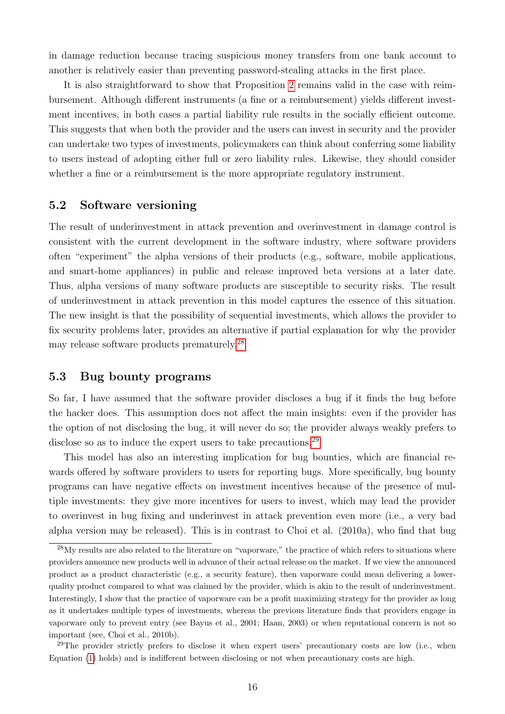in damage reduction because tracing suspicious money transfers from one bank account to another is relatively easier than preventing password-stealing attacks in the first place.

It is also straightforward to show that Proposition [2](#page-11-0) remains valid in the case with reimbursement. Although different instruments (a fine or a reimbursement) yields different investment incentives, in both cases a partial liability rule results in the socially efficient outcome. This suggests that when both the provider and the users can invest in security and the provider can undertake two types of investments, policymakers can think about conferring some liability to users instead of adopting either full or zero liability rules. Likewise, they should consider whether a fine or a reimbursement is the more appropriate regulatory instrument.

#### <span id="page-15-0"></span>5.2 Software versioning

The result of underinvestment in attack prevention and overinvestment in damage control is consistent with the current development in the software industry, where software providers often "experiment" the alpha versions of their products (e.g., software, mobile applications, and smart-home appliances) in public and release improved beta versions at a later date. Thus, alpha versions of many software products are susceptible to security risks. The result of underinvestment in attack prevention in this model captures the essence of this situation. The new insight is that the possibility of sequential investments, which allows the provider to fix security problems later, provides an alternative if partial explanation for why the provider may release software products prematurely.[28](#page-15-2)

#### <span id="page-15-1"></span>5.3 Bug bounty programs

So far, I have assumed that the software provider discloses a bug if it finds the bug before the hacker does. This assumption does not affect the main insights: even if the provider has the option of not disclosing the bug, it will never do so; the provider always weakly prefers to disclose so as to induce the expert users to take precautions.<sup>[29](#page-15-3)</sup>

This model has also an interesting implication for bug bounties, which are financial rewards offered by software providers to users for reporting bugs. More specifically, bug bounty programs can have negative effects on investment incentives because of the presence of multiple investments: they give more incentives for users to invest, which may lead the provider to overinvest in bug fixing and underinvest in attack prevention even more (i.e., a very bad alpha version may be released). This is in contrast to Choi et al. (2010a), who find that bug

<span id="page-15-2"></span><sup>28</sup>My results are also related to the literature on "vaporware," the practice of which refers to situations where providers announce new products well in advance of their actual release on the market. If we view the announced product as a product characteristic (e.g., a security feature), then vaporware could mean delivering a lowerquality product compared to what was claimed by the provider, which is akin to the result of underinvestment. Interestingly, I show that the practice of vaporware can be a profit maximizing strategy for the provider as long as it undertakes multiple types of investments, whereas the previous literature finds that providers engage in vaporware only to prevent entry (see Bayus et al., 2001; Haan, 2003) or when reputational concern is not so important (see, Choi et al., 2010b).

<span id="page-15-3"></span><sup>&</sup>lt;sup>29</sup>The provider strictly prefers to disclose it when expert users' precautionary costs are low (i.e., when Equation [\(1\)](#page-8-3) holds) and is indifferent between disclosing or not when precautionary costs are high.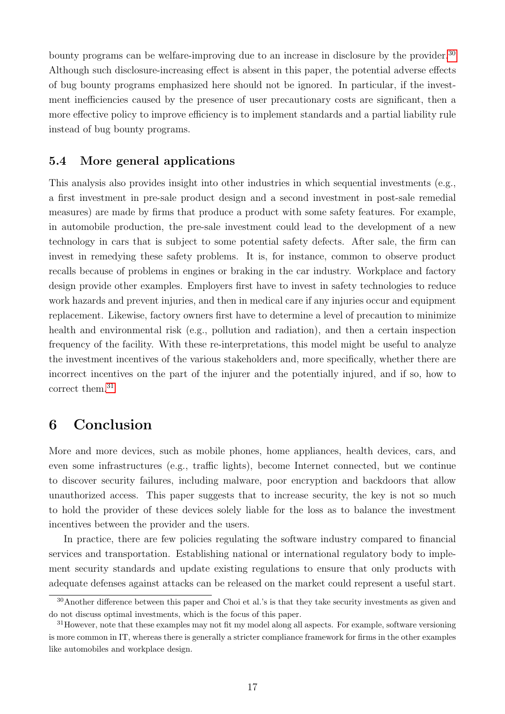bounty programs can be welfare-improving due to an increase in disclosure by the provider.<sup>[30](#page-16-0)</sup> Although such disclosure-increasing effect is absent in this paper, the potential adverse effects of bug bounty programs emphasized here should not be ignored. In particular, if the investment inefficiencies caused by the presence of user precautionary costs are significant, then a more effective policy to improve efficiency is to implement standards and a partial liability rule instead of bug bounty programs.

#### 5.4 More general applications

This analysis also provides insight into other industries in which sequential investments (e.g., a first investment in pre-sale product design and a second investment in post-sale remedial measures) are made by firms that produce a product with some safety features. For example, in automobile production, the pre-sale investment could lead to the development of a new technology in cars that is subject to some potential safety defects. After sale, the firm can invest in remedying these safety problems. It is, for instance, common to observe product recalls because of problems in engines or braking in the car industry. Workplace and factory design provide other examples. Employers first have to invest in safety technologies to reduce work hazards and prevent injuries, and then in medical care if any injuries occur and equipment replacement. Likewise, factory owners first have to determine a level of precaution to minimize health and environmental risk (e.g., pollution and radiation), and then a certain inspection frequency of the facility. With these re-interpretations, this model might be useful to analyze the investment incentives of the various stakeholders and, more specifically, whether there are incorrect incentives on the part of the injurer and the potentially injured, and if so, how to correct them.<sup>[31](#page-16-1)</sup>

### 6 Conclusion

More and more devices, such as mobile phones, home appliances, health devices, cars, and even some infrastructures (e.g., traffic lights), become Internet connected, but we continue to discover security failures, including malware, poor encryption and backdoors that allow unauthorized access. This paper suggests that to increase security, the key is not so much to hold the provider of these devices solely liable for the loss as to balance the investment incentives between the provider and the users.

In practice, there are few policies regulating the software industry compared to financial services and transportation. Establishing national or international regulatory body to implement security standards and update existing regulations to ensure that only products with adequate defenses against attacks can be released on the market could represent a useful start.

<span id="page-16-0"></span><sup>&</sup>lt;sup>30</sup>Another difference between this paper and Choi et al.'s is that they take security investments as given and do not discuss optimal investments, which is the focus of this paper.

<span id="page-16-1"></span><sup>&</sup>lt;sup>31</sup>However, note that these examples may not fit my model along all aspects. For example, software versioning is more common in IT, whereas there is generally a stricter compliance framework for firms in the other examples like automobiles and workplace design.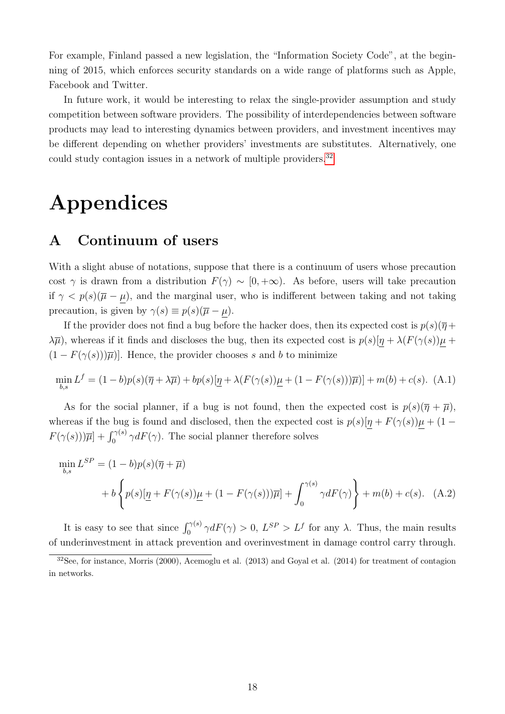For example, Finland passed a new legislation, the "Information Society Code", at the beginning of 2015, which enforces security standards on a wide range of platforms such as Apple, Facebook and Twitter.

In future work, it would be interesting to relax the single-provider assumption and study competition between software providers. The possibility of interdependencies between software products may lead to interesting dynamics between providers, and investment incentives may be different depending on whether providers' investments are substitutes. Alternatively, one could study contagion issues in a network of multiple providers.<sup>[32](#page-17-1)</sup>

# Appendices

### <span id="page-17-0"></span>A Continuum of users

With a slight abuse of notations, suppose that there is a continuum of users whose precaution cost  $\gamma$  is drawn from a distribution  $F(\gamma) \sim [0, +\infty)$ . As before, users will take precaution if  $\gamma < p(s)(\overline{\mu} - \mu)$ , and the marginal user, who is indifferent between taking and not taking precaution, is given by  $\gamma(s) \equiv p(s)(\overline{\mu} - \mu)$ .

If the provider does not find a bug before the hacker does, then its expected cost is  $p(s)(\overline{\eta} +$  $\lambda \overline{\mu}$ ), whereas if it finds and discloses the bug, then its expected cost is  $p(s)[\eta + \lambda(F(\gamma(s))\mu +$  $(1 - F(\gamma(s)))\overline{\mu}$ ]. Hence, the provider chooses s and b to minimize

$$
\min_{b,s} L^f = (1-b)p(s)(\overline{\eta} + \lambda \overline{\mu}) + bp(s)[\underline{\eta} + \lambda(F(\gamma(s))\underline{\mu} + (1 - F(\gamma(s)))\overline{\mu})] + m(b) + c(s). \tag{A.1}
$$

As for the social planner, if a bug is not found, then the expected cost is  $p(s)(\overline{\eta} + \overline{\mu})$ , whereas if the bug is found and disclosed, then the expected cost is  $p(s)[\eta + F(\gamma(s))\underline{\mu} + (1 F(\gamma(s))\overline{\mu}]+\int_0^{\gamma(s)}\gamma dF(\gamma)$ . The social planner therefore solves

$$
\min_{b,s} L^{SP} = (1 - b)p(s)(\overline{\eta} + \overline{\mu})
$$
  
+ 
$$
b \left\{ p(s)[\underline{\eta} + F(\gamma(s))\underline{\mu} + (1 - F(\gamma(s)))\overline{\mu}] + \int_0^{\gamma(s)} \gamma dF(\gamma) \right\} + m(b) + c(s). \quad (A.2)
$$

It is easy to see that since  $\int_0^{\gamma(s)} \gamma dF(\gamma) > 0$ ,  $L^{SP} > L^f$  for any  $\lambda$ . Thus, the main results of underinvestment in attack prevention and overinvestment in damage control carry through.

<span id="page-17-1"></span><sup>32</sup>See, for instance, Morris (2000), Acemoglu et al. (2013) and Goyal et al. (2014) for treatment of contagion in networks.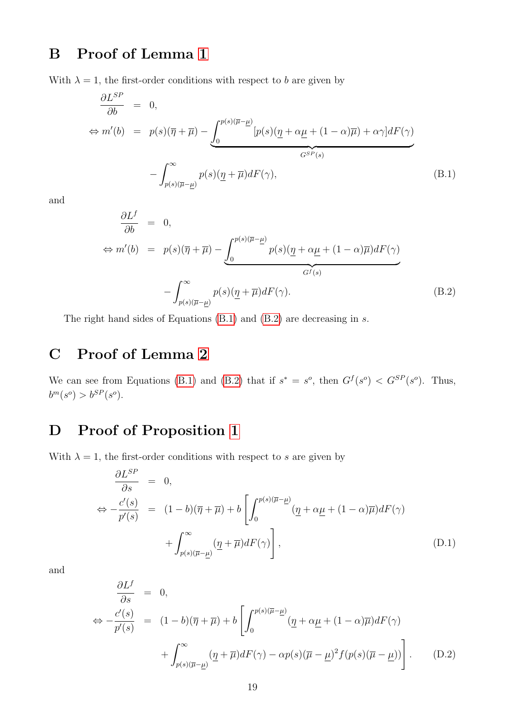# <span id="page-18-0"></span>B Proof of Lemma [1](#page-10-0)

With  $\lambda = 1$ , the first-order conditions with respect to b are given by

<span id="page-18-3"></span>
$$
\frac{\partial L^{SP}}{\partial b} = 0,
$$
  
\n
$$
\Leftrightarrow m'(b) = p(s)(\overline{\eta} + \overline{\mu}) - \underbrace{\int_0^{p(s)(\overline{\mu} - \underline{\mu})} [p(s)(\underline{\eta} + \alpha \underline{\mu} + (1 - \alpha)\overline{\mu}) + \alpha \gamma] dF(\gamma)}_{G^{SP}(s)}
$$
  
\n
$$
- \int_{p(s)(\overline{\mu} - \underline{\mu})}^{\infty} p(s)(\underline{\eta} + \overline{\mu}) dF(\gamma),
$$
 (B.1)

and

<span id="page-18-4"></span>
$$
\frac{\partial L^f}{\partial b} = 0,
$$
\n
$$
\Leftrightarrow m'(b) = p(s)(\overline{\eta} + \overline{\mu}) - \underbrace{\int_0^{p(s)(\overline{\mu} - \underline{\mu})} p(s)(\underline{\eta} + \alpha \underline{\mu} + (1 - \alpha)\overline{\mu})dF(\gamma)}_{G^f(s)} - \underbrace{\int_{p(s)(\overline{\mu} - \underline{\mu})}^{\infty} p(s)(\underline{\eta} + \overline{\mu})dF(\gamma)}.
$$
\n(B.2)

The right hand sides of Equations [\(B.1\)](#page-18-3) and [\(B.2\)](#page-18-4) are decreasing in s.

# <span id="page-18-1"></span>C Proof of Lemma [2](#page-10-2)

We can see from Equations [\(B.1\)](#page-18-3) and [\(B.2\)](#page-18-4) that if  $s^* = s^o$ , then  $G^f(s^o) < G^{SP}(s^o)$ . Thus,  $b^m(s^o) > b^{SP}(s^o).$ 

## <span id="page-18-2"></span>D Proof of Proposition [1](#page-11-1)

With  $\lambda = 1$ , the first-order conditions with respect to s are given by

<span id="page-18-5"></span>
$$
\frac{\partial L^{SP}}{\partial s} = 0,
$$
\n
$$
\Leftrightarrow -\frac{c'(s)}{p'(s)} = (1 - b)(\overline{\eta} + \overline{\mu}) + b \left[ \int_0^{p(s)(\overline{\mu} - \underline{\mu})} (\underline{\eta} + \alpha \underline{\mu} + (1 - \alpha)\overline{\mu}) dF(\gamma) + \int_{p(s)(\overline{\mu} - \underline{\mu})}^{\infty} (\underline{\eta} + \overline{\mu}) dF(\gamma) \right],
$$
\n(D.1)

and

<span id="page-18-6"></span>
$$
\frac{\partial L^f}{\partial s} = 0,
$$
\n
$$
\Leftrightarrow -\frac{c'(s)}{p'(s)} = (1-b)(\overline{\eta} + \overline{\mu}) + b \left[ \int_0^{p(s)(\overline{\mu} - \underline{\mu})} (\underline{\eta} + \alpha \underline{\mu} + (1-\alpha)\overline{\mu}) dF(\gamma) + \int_{p(s)(\overline{\mu} - \underline{\mu})}^{\infty} (\underline{\eta} + \overline{\mu}) dF(\gamma) - \alpha p(s)(\overline{\mu} - \underline{\mu})^2 f(p(s)(\overline{\mu} - \underline{\mu})) \right].
$$
\n(D.2)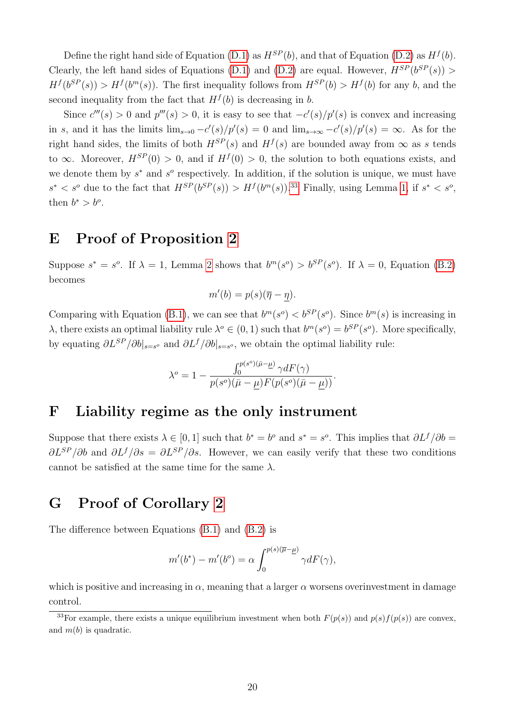Define the right hand side of Equation [\(D.1\)](#page-18-5) as  $H^{SP}(b)$ , and that of Equation [\(D.2\)](#page-18-6) as  $H^{f}(b)$ . Clearly, the left hand sides of Equations [\(D.1\)](#page-18-5) and [\(D.2\)](#page-18-6) are equal. However,  $H^{SP}(b^{SP}(s))$  >  $H<sup>f</sup>(b<sup>SP</sup>(s)) > H<sup>f</sup>(b<sup>m</sup>(s))$ . The first inequality follows from  $H<sup>SP</sup>(b) > H<sup>f</sup>(b)$  for any b, and the second inequality from the fact that  $H<sup>f</sup>(b)$  is decreasing in b.

Since  $c'''(s) > 0$  and  $p'''(s) > 0$ , it is easy to see that  $-c'(s)/p'(s)$  is convex and increasing in s, and it has the limits  $\lim_{s\to 0} -c'(s)/p'(s) = 0$  and  $\lim_{s\to\infty} -c'(s)/p'(s) = \infty$ . As for the right hand sides, the limits of both  $H^{SP}(s)$  and  $H^{f}(s)$  are bounded away from  $\infty$  as s tends to  $\infty$ . Moreover,  $H^{SP}(0) > 0$ , and if  $H^{f}(0) > 0$ , the solution to both equations exists, and we denote them by  $s^*$  and  $s^o$  respectively. In addition, if the solution is unique, we must have  $s^* < s^o$  due to the fact that  $H^{SP}(b^{SP}(s)) > H^f(b^m(s))$ .<sup>[33](#page-19-3)</sup> Finally, using Lemma [1,](#page-10-0) if  $s^* < s^o$ , then  $b^* > b^o$ .

### <span id="page-19-1"></span>E Proof of Proposition [2](#page-11-0)

Suppose  $s^* = s^o$ . If  $\lambda = 1$ , Lemma [2](#page-10-2) shows that  $b^m(s^o) > b^{SP}(s^o)$ . If  $\lambda = 0$ , Equation [\(B.2\)](#page-18-4) becomes

$$
m'(b) = p(s)(\overline{\eta} - \eta).
$$

Comparing with Equation [\(B.1\)](#page-18-3), we can see that  $b^m(s^o) < b^{SP}(s^o)$ . Since  $b^m(s)$  is increasing in λ, there exists an optimal liability rule λ<sup>ο</sup> ∈ (0, 1) such that  $b<sup>m</sup>(s<sup>o</sup>) = b<sup>SP</sup>(s<sup>o</sup>)$ . More specifically, by equating  $\partial L^{SP}/\partial b|_{s=s^o}$  and  $\partial L^f/\partial b|_{s=s^o}$ , we obtain the optimal liability rule:

$$
\lambda^{o} = 1 - \frac{\int_{0}^{p(s^{o})(\bar{\mu} - \underline{\mu})} \gamma dF(\gamma)}{p(s^{o})(\bar{\mu} - \mu)F(p(s^{o})(\bar{\mu} - \mu))}.
$$

### <span id="page-19-0"></span>F Liability regime as the only instrument

Suppose that there exists  $\lambda \in [0,1]$  such that  $b^* = b^o$  and  $s^* = s^o$ . This implies that  $\partial L^f / \partial b =$  $\partial L^{SP}/\partial b$  and  $\partial L^{f}/\partial s = \partial L^{SP}/\partial s$ . However, we can easily verify that these two conditions cannot be satisfied at the same time for the same  $\lambda$ .

### <span id="page-19-2"></span>G Proof of Corollary [2](#page-13-3)

The difference between Equations [\(B.1\)](#page-18-3) and [\(B.2\)](#page-18-4) is

λ

$$
m'(b^*) - m'(b^o) = \alpha \int_0^{p(s)(\overline{\mu} - \underline{\mu})} \gamma dF(\gamma),
$$

which is positive and increasing in  $\alpha$ , meaning that a larger  $\alpha$  worsens overinvestment in damage control.

<span id="page-19-3"></span><sup>&</sup>lt;sup>33</sup>For example, there exists a unique equilibrium investment when both  $F(p(s))$  and  $p(s)f(p(s))$  are convex. and  $m(b)$  is quadratic.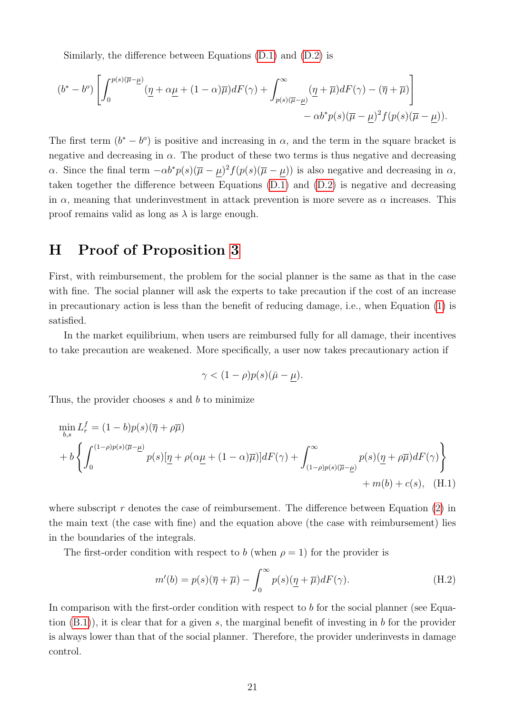Similarly, the difference between Equations [\(D.1\)](#page-18-5) and [\(D.2\)](#page-18-6) is

$$
(b^* - b^o) \left[ \int_0^{p(s)(\overline{\mu} - \underline{\mu})} (\underline{\eta} + \alpha \underline{\mu} + (1 - \alpha)\overline{\mu}) dF(\gamma) + \int_{p(s)(\overline{\mu} - \underline{\mu})}^{\infty} (\underline{\eta} + \overline{\mu}) dF(\gamma) - (\overline{\eta} + \overline{\mu}) \right] - \alpha b^* p(s) (\overline{\mu} - \underline{\mu})^2 f(p(s) (\overline{\mu} - \underline{\mu})).
$$

The first term  $(b^* - b^o)$  is positive and increasing in  $\alpha$ , and the term in the square bracket is negative and decreasing in  $\alpha$ . The product of these two terms is thus negative and decreasing α. Since the final term  $-\alpha b^* p(s) (\overline{\mu} - \mu)^2 f(p(s) (\overline{\mu} - \mu))$  is also negative and decreasing in α, taken together the difference between Equations [\(D.1\)](#page-18-5) and [\(D.2\)](#page-18-6) is negative and decreasing in  $\alpha$ , meaning that underinvestment in attack prevention is more severe as  $\alpha$  increases. This proof remains valid as long as  $\lambda$  is large enough.

### <span id="page-20-0"></span>H Proof of Proposition [3](#page-14-1)

First, with reimbursement, the problem for the social planner is the same as that in the case with fine. The social planner will ask the experts to take precaution if the cost of an increase in precautionary action is less than the benefit of reducing damage, i.e., when Equation [\(1\)](#page-8-3) is satisfied.

In the market equilibrium, when users are reimbursed fully for all damage, their incentives to take precaution are weakened. More specifically, a user now takes precautionary action if

$$
\gamma < (1 - \rho)p(s)(\bar{\mu} - \mu).
$$

Thus, the provider chooses s and b to minimize

$$
\min_{b,s} L_r^f = (1 - b)p(s)(\overline{\eta} + \rho \overline{\mu})
$$
\n
$$
+ b \left\{ \int_0^{(1 - \rho)p(s)(\overline{\mu} - \underline{\mu})} p(s)[\underline{\eta} + \rho(\alpha \underline{\mu} + (1 - \alpha)\overline{\mu})]dF(\gamma) + \int_{(1 - \rho)p(s)(\overline{\mu} - \underline{\mu})}^{\infty} p(s)(\underline{\eta} + \rho \overline{\mu})dF(\gamma) \right\}
$$
\n
$$
+ m(b) + c(s), \quad (H.1)
$$

where subscript r denotes the case of reimbursement. The difference between Equation  $(2)$  in the main text (the case with fine) and the equation above (the case with reimbursement) lies in the boundaries of the integrals.

The first-order condition with respect to b (when  $\rho = 1$ ) for the provider is

$$
m'(b) = p(s)(\overline{\eta} + \overline{\mu}) - \int_0^\infty p(s)(\underline{\eta} + \overline{\mu})dF(\gamma).
$$
 (H.2)

In comparison with the first-order condition with respect to  $b$  for the social planner (see Equation  $(B.1)$ , it is clear that for a given s, the marginal benefit of investing in b for the provider is always lower than that of the social planner. Therefore, the provider underinvests in damage control.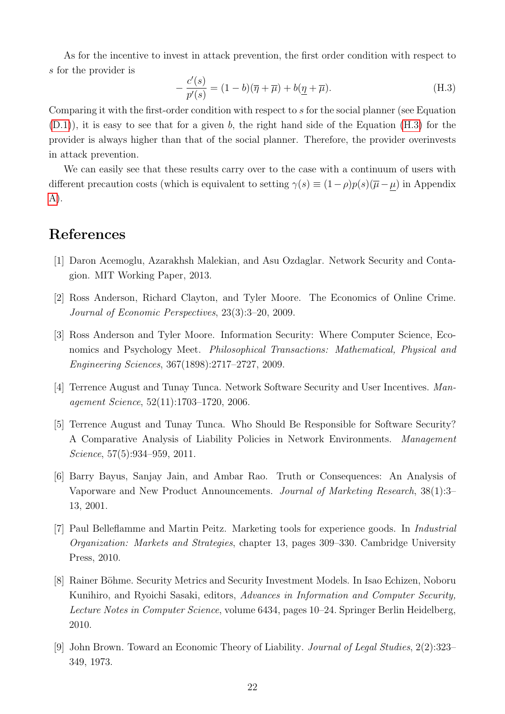As for the incentive to invest in attack prevention, the first order condition with respect to s for the provider is

<span id="page-21-0"></span>
$$
-\frac{c'(s)}{p'(s)} = (1-b)(\overline{\eta} + \overline{\mu}) + b(\underline{\eta} + \overline{\mu}).
$$
\n(H.3)

Comparing it with the first-order condition with respect to s for the social planner (see Equation  $(D.1)$ , it is easy to see that for a given b, the right hand side of the Equation [\(H.3\)](#page-21-0) for the provider is always higher than that of the social planner. Therefore, the provider overinvests in attack prevention.

We can easily see that these results carry over to the case with a continuum of users with different precaution costs (which is equivalent to setting  $\gamma(s) \equiv (1-\rho)p(s)(\overline{\mu}-\mu)$  in Appendix [A\)](#page-17-0).

### References

- [1] Daron Acemoglu, Azarakhsh Malekian, and Asu Ozdaglar. Network Security and Contagion. MIT Working Paper, 2013.
- [2] Ross Anderson, Richard Clayton, and Tyler Moore. The Economics of Online Crime. Journal of Economic Perspectives, 23(3):3–20, 2009.
- [3] Ross Anderson and Tyler Moore. Information Security: Where Computer Science, Economics and Psychology Meet. Philosophical Transactions: Mathematical, Physical and Engineering Sciences, 367(1898):2717–2727, 2009.
- [4] Terrence August and Tunay Tunca. Network Software Security and User Incentives. Management Science, 52(11):1703–1720, 2006.
- [5] Terrence August and Tunay Tunca. Who Should Be Responsible for Software Security? A Comparative Analysis of Liability Policies in Network Environments. Management Science, 57(5):934–959, 2011.
- [6] Barry Bayus, Sanjay Jain, and Ambar Rao. Truth or Consequences: An Analysis of Vaporware and New Product Announcements. Journal of Marketing Research, 38(1):3– 13, 2001.
- [7] Paul Belleflamme and Martin Peitz. Marketing tools for experience goods. In Industrial Organization: Markets and Strategies, chapter 13, pages 309–330. Cambridge University Press, 2010.
- [8] Rainer Böhme. Security Metrics and Security Investment Models. In Isao Echizen, Noboru Kunihiro, and Ryoichi Sasaki, editors, Advances in Information and Computer Security, Lecture Notes in Computer Science, volume 6434, pages 10–24. Springer Berlin Heidelberg, 2010.
- [9] John Brown. Toward an Economic Theory of Liability. Journal of Legal Studies, 2(2):323– 349, 1973.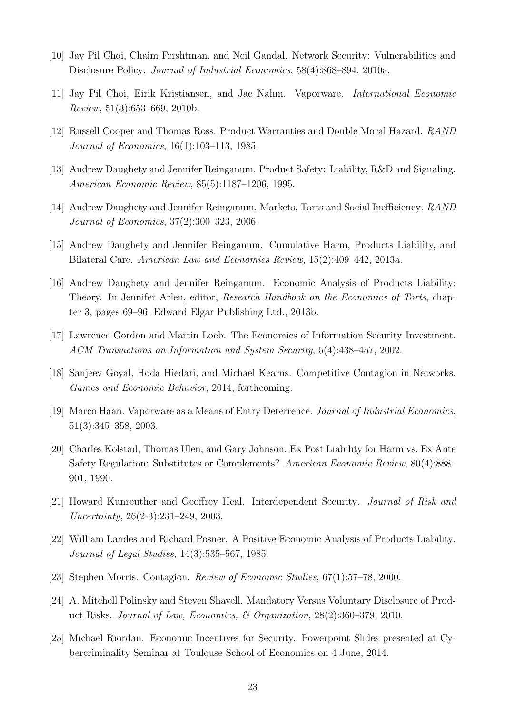- [10] Jay Pil Choi, Chaim Fershtman, and Neil Gandal. Network Security: Vulnerabilities and Disclosure Policy. Journal of Industrial Economics, 58(4):868–894, 2010a.
- [11] Jay Pil Choi, Eirik Kristiansen, and Jae Nahm. Vaporware. International Economic Review, 51(3):653–669, 2010b.
- [12] Russell Cooper and Thomas Ross. Product Warranties and Double Moral Hazard. RAND Journal of Economics, 16(1):103–113, 1985.
- [13] Andrew Daughety and Jennifer Reinganum. Product Safety: Liability, R&D and Signaling. American Economic Review, 85(5):1187–1206, 1995.
- [14] Andrew Daughety and Jennifer Reinganum. Markets, Torts and Social Inefficiency. RAND Journal of Economics, 37(2):300–323, 2006.
- [15] Andrew Daughety and Jennifer Reinganum. Cumulative Harm, Products Liability, and Bilateral Care. American Law and Economics Review, 15(2):409–442, 2013a.
- [16] Andrew Daughety and Jennifer Reinganum. Economic Analysis of Products Liability: Theory. In Jennifer Arlen, editor, Research Handbook on the Economics of Torts, chapter 3, pages 69–96. Edward Elgar Publishing Ltd., 2013b.
- [17] Lawrence Gordon and Martin Loeb. The Economics of Information Security Investment. ACM Transactions on Information and System Security, 5(4):438–457, 2002.
- [18] Sanjeev Goyal, Hoda Hiedari, and Michael Kearns. Competitive Contagion in Networks. Games and Economic Behavior, 2014, forthcoming.
- [19] Marco Haan. Vaporware as a Means of Entry Deterrence. Journal of Industrial Economics, 51(3):345–358, 2003.
- [20] Charles Kolstad, Thomas Ulen, and Gary Johnson. Ex Post Liability for Harm vs. Ex Ante Safety Regulation: Substitutes or Complements? American Economic Review, 80(4):888– 901, 1990.
- [21] Howard Kunreuther and Geoffrey Heal. Interdependent Security. Journal of Risk and Uncertainty, 26(2-3):231–249, 2003.
- [22] William Landes and Richard Posner. A Positive Economic Analysis of Products Liability. Journal of Legal Studies, 14(3):535–567, 1985.
- [23] Stephen Morris. Contagion. Review of Economic Studies, 67(1):57–78, 2000.
- [24] A. Mitchell Polinsky and Steven Shavell. Mandatory Versus Voluntary Disclosure of Product Risks. Journal of Law, Economics, & Organization, 28(2):360–379, 2010.
- [25] Michael Riordan. Economic Incentives for Security. Powerpoint Slides presented at Cybercriminality Seminar at Toulouse School of Economics on 4 June, 2014.